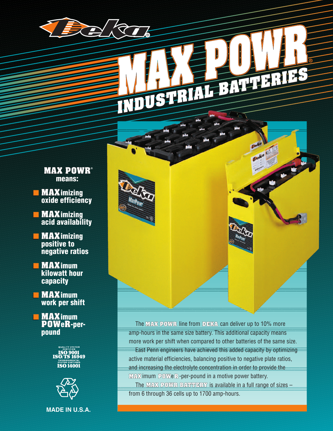# NOUS-RIALE SALERINGS

- **MAX POWR® means:**
- ■ **MAXimizing oxide efficiency**
- ■ **MAXimizing acid availability**
- ■ **MAXimizing positive to negative ratios**
- ■ **MAXimum kilowatt hour capacity**
- ■ **MAXimum work per shift**

■ ■ **MAXimum POWeR-perpound**





**MADE IN U.S.A.**

The **MAX POWR** line from **DEKA** can deliver up to 10% more amp-hours in the same size battery. This additional capacity means more work per shift when compared to other batteries of the same size.

East Penn engineers have achieved this added capacity by optimizing active material efficiencies, balancing positive to negative plate ratios, and increasing the electrolyte concentration in order to provide the **MAX**imum **POW**e**R**-per-pound in a motive power battery.

The **MAX POWR BATTERY** is available in a full range of sizes – from 6 through 36 cells up to 1700 amp-hours.